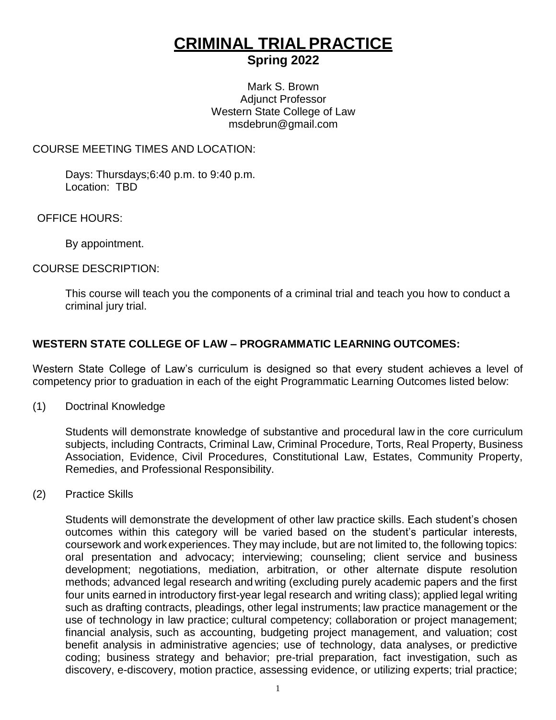# **CRIMINAL TRIAL PRACTICE Spring 2022**

Mark S. Brown Adjunct Professor Western State College of Law msdebrun@gmail.com

#### COURSE MEETING TIMES AND LOCATION:

Days: Thursdays;6:40 p.m. to 9:40 p.m. Location: TBD

OFFICE HOURS:

By appointment.

#### COURSE DESCRIPTION:

This course will teach you the components of a criminal trial and teach you how to conduct a criminal jury trial.

# **WESTERN STATE COLLEGE OF LAW – PROGRAMMATIC LEARNING OUTCOMES:**

Western State College of Law's curriculum is designed so that every student achieves a level of competency prior to graduation in each of the eight Programmatic Learning Outcomes listed below:

(1) Doctrinal Knowledge

Students will demonstrate knowledge of substantive and procedural law in the core curriculum subjects, including Contracts, Criminal Law, Criminal Procedure, Torts, Real Property, Business Association, Evidence, Civil Procedures, Constitutional Law, Estates, Community Property, Remedies, and Professional Responsibility.

(2) Practice Skills

Students will demonstrate the development of other law practice skills. Each student's chosen outcomes within this category will be varied based on the student's particular interests, coursework and workexperiences. They may include, but are not limited to, the following topics: oral presentation and advocacy; interviewing; counseling; client service and business development; negotiations, mediation, arbitration, or other alternate dispute resolution methods; advanced legal research and writing (excluding purely academic papers and the first four units earned in introductory first-year legal research and writing class); applied legal writing such as drafting contracts, pleadings, other legal instruments; law practice management or the use of technology in law practice; cultural competency; collaboration or project management; financial analysis, such as accounting, budgeting project management, and valuation; cost benefit analysis in administrative agencies; use of technology, data analyses, or predictive coding; business strategy and behavior; pre-trial preparation, fact investigation, such as discovery, e-discovery, motion practice, assessing evidence, or utilizing experts; trial practice;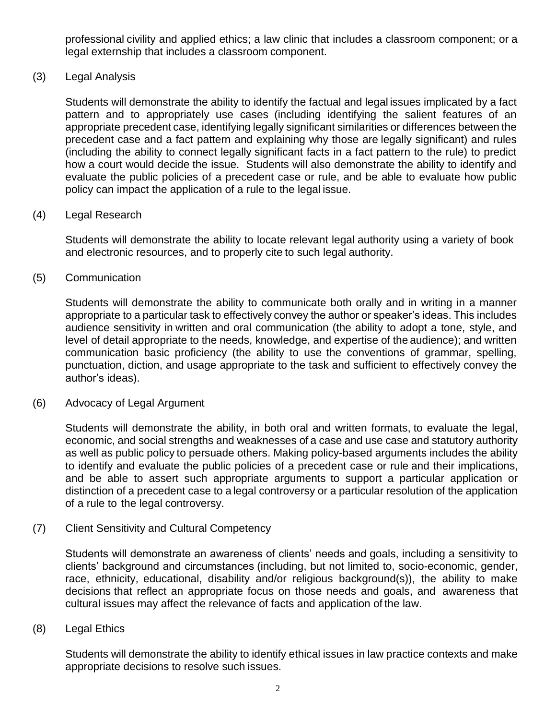professional civility and applied ethics; a law clinic that includes a classroom component; or a legal externship that includes a classroom component.

(3) Legal Analysis

Students will demonstrate the ability to identify the factual and legal issues implicated by a fact pattern and to appropriately use cases (including identifying the salient features of an appropriate precedent case, identifying legally significant similarities or differences between the precedent case and a fact pattern and explaining why those are legally significant) and rules (including the ability to connect legally significant facts in a fact pattern to the rule) to predict how a court would decide the issue. Students will also demonstrate the ability to identify and evaluate the public policies of a precedent case or rule, and be able to evaluate how public policy can impact the application of a rule to the legal issue.

#### (4) Legal Research

Students will demonstrate the ability to locate relevant legal authority using a variety of book and electronic resources, and to properly cite to such legal authority.

(5) Communication

Students will demonstrate the ability to communicate both orally and in writing in a manner appropriate to a particular task to effectively convey the author or speaker's ideas. This includes audience sensitivity in written and oral communication (the ability to adopt a tone, style, and level of detail appropriate to the needs, knowledge, and expertise of the audience); and written communication basic proficiency (the ability to use the conventions of grammar, spelling, punctuation, diction, and usage appropriate to the task and sufficient to effectively convey the author's ideas).

(6) Advocacy of Legal Argument

Students will demonstrate the ability, in both oral and written formats, to evaluate the legal, economic, and social strengths and weaknesses of a case and use case and statutory authority as well as public policy to persuade others. Making policy-based arguments includes the ability to identify and evaluate the public policies of a precedent case or rule and their implications, and be able to assert such appropriate arguments to support a particular application or distinction of a precedent case to a legal controversy or a particular resolution of the application of a rule to the legal controversy.

(7) Client Sensitivity and Cultural Competency

Students will demonstrate an awareness of clients' needs and goals, including a sensitivity to clients' background and circumstances (including, but not limited to, socio-economic, gender, race, ethnicity, educational, disability and/or religious background(s)), the ability to make decisions that reflect an appropriate focus on those needs and goals, and awareness that cultural issues may affect the relevance of facts and application of the law.

(8) Legal Ethics

Students will demonstrate the ability to identify ethical issues in law practice contexts and make appropriate decisions to resolve such issues.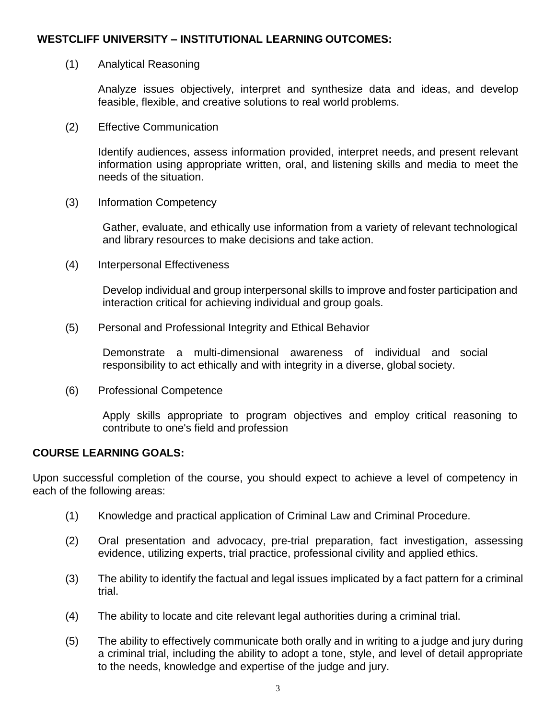# **WESTCLIFF UNIVERSITY – INSTITUTIONAL LEARNING OUTCOMES:**

## (1) Analytical Reasoning

Analyze issues objectively, interpret and synthesize data and ideas, and develop feasible, flexible, and creative solutions to real world problems.

(2) Effective Communication

Identify audiences, assess information provided, interpret needs, and present relevant information using appropriate written, oral, and listening skills and media to meet the needs of the situation.

(3) Information Competency

Gather, evaluate, and ethically use information from a variety of relevant technological and library resources to make decisions and take action.

(4) Interpersonal Effectiveness

Develop individual and group interpersonal skills to improve and foster participation and interaction critical for achieving individual and group goals.

(5) Personal and Professional Integrity and Ethical Behavior

Demonstrate a multi-dimensional awareness of individual and social responsibility to act ethically and with integrity in a diverse, global society.

(6) Professional Competence

Apply skills appropriate to program objectives and employ critical reasoning to contribute to one's field and profession

#### **COURSE LEARNING GOALS:**

Upon successful completion of the course, you should expect to achieve a level of competency in each of the following areas:

- (1) Knowledge and practical application of Criminal Law and Criminal Procedure.
- (2) Oral presentation and advocacy, pre-trial preparation, fact investigation, assessing evidence, utilizing experts, trial practice, professional civility and applied ethics.
- (3) The ability to identify the factual and legal issues implicated by a fact pattern for a criminal trial.
- (4) The ability to locate and cite relevant legal authorities during a criminal trial.
- (5) The ability to effectively communicate both orally and in writing to a judge and jury during a criminal trial, including the ability to adopt a tone, style, and level of detail appropriate to the needs, knowledge and expertise of the judge and jury.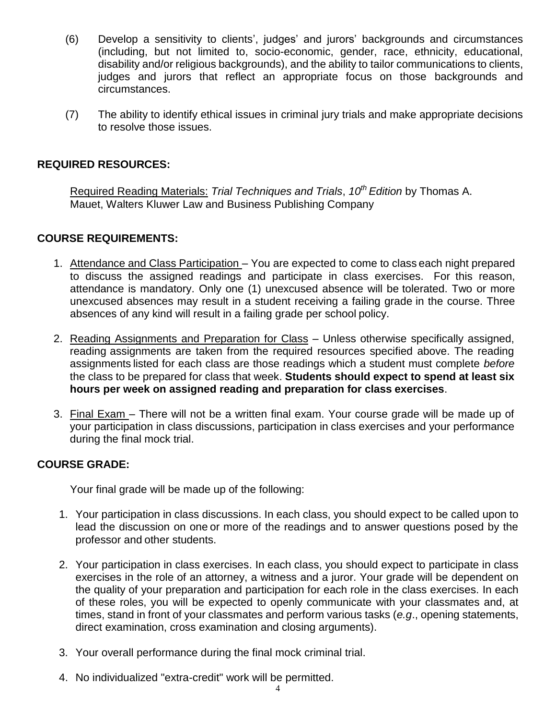- (6) Develop a sensitivity to clients', judges' and jurors' backgrounds and circumstances (including, but not limited to, socio-economic, gender, race, ethnicity, educational, disability and/or religious backgrounds), and the ability to tailor communications to clients, judges and jurors that reflect an appropriate focus on those backgrounds and circumstances.
- (7) The ability to identify ethical issues in criminal jury trials and make appropriate decisions to resolve those issues.

# **REQUIRED RESOURCES:**

Required Reading Materials: *Trial Techniques and Trials*, *10th Edition* by Thomas A. Mauet, Walters Kluwer Law and Business Publishing Company

## **COURSE REQUIREMENTS:**

- 1. Attendance and Class Participation You are expected to come to class each night prepared to discuss the assigned readings and participate in class exercises. For this reason, attendance is mandatory. Only one (1) unexcused absence will be tolerated. Two or more unexcused absences may result in a student receiving a failing grade in the course. Three absences of any kind will result in a failing grade per school policy.
- 2. Reading Assignments and Preparation for Class Unless otherwise specifically assigned, reading assignments are taken from the required resources specified above. The reading assignments listed for each class are those readings which a student must complete *before*  the class to be prepared for class that week. **Students should expect to spend at least six hours per week on assigned reading and preparation for class exercises**.
- 3. Final Exam There will not be a written final exam. Your course grade will be made up of your participation in class discussions, participation in class exercises and your performance during the final mock trial.

## **COURSE GRADE:**

Your final grade will be made up of the following:

- 1. Your participation in class discussions. In each class, you should expect to be called upon to lead the discussion on one or more of the readings and to answer questions posed by the professor and other students.
- 2. Your participation in class exercises. In each class, you should expect to participate in class exercises in the role of an attorney, a witness and a juror. Your grade will be dependent on the quality of your preparation and participation for each role in the class exercises. In each of these roles, you will be expected to openly communicate with your classmates and, at times, stand in front of your classmates and perform various tasks (*e.g*., opening statements, direct examination, cross examination and closing arguments).
- 3. Your overall performance during the final mock criminal trial.
- 4. No individualized "extra-credit" work will be permitted.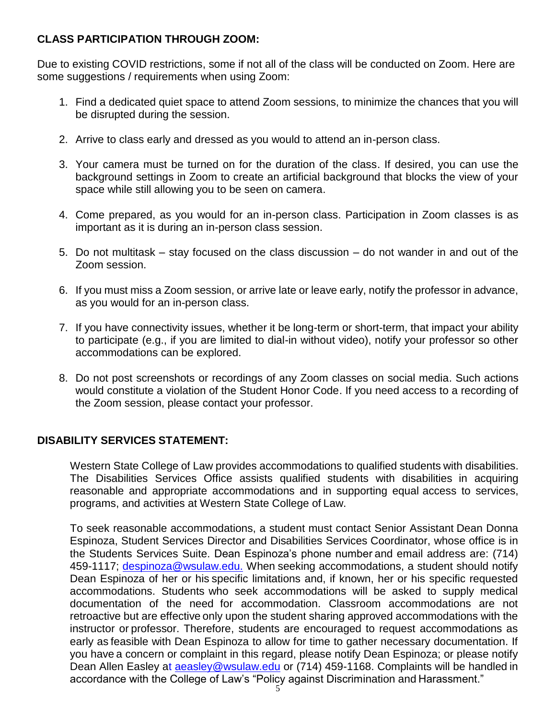# **CLASS PARTICIPATION THROUGH ZOOM:**

Due to existing COVID restrictions, some if not all of the class will be conducted on Zoom. Here are some suggestions / requirements when using Zoom:

- 1. Find a dedicated quiet space to attend Zoom sessions, to minimize the chances that you will be disrupted during the session.
- 2. Arrive to class early and dressed as you would to attend an in-person class.
- 3. Your camera must be turned on for the duration of the class. If desired, you can use the background settings in Zoom to create an artificial background that blocks the view of your space while still allowing you to be seen on camera.
- 4. Come prepared, as you would for an in-person class. Participation in Zoom classes is as important as it is during an in-person class session.
- 5. Do not multitask stay focused on the class discussion do not wander in and out of the Zoom session.
- 6. If you must miss a Zoom session, or arrive late or leave early, notify the professor in advance, as you would for an in-person class.
- 7. If you have connectivity issues, whether it be long-term or short-term, that impact your ability to participate (e.g., if you are limited to dial-in without video), notify your professor so other accommodations can be explored.
- 8. Do not post screenshots or recordings of any Zoom classes on social media. Such actions would constitute a violation of the Student Honor Code. If you need access to a recording of the Zoom session, please contact your professor.

# **DISABILITY SERVICES STATEMENT:**

Western State College of Law provides accommodations to qualified students with disabilities. The Disabilities Services Office assists qualified students with disabilities in acquiring reasonable and appropriate accommodations and in supporting equal access to services, programs, and activities at Western State College of Law.

To seek reasonable accommodations, a student must contact Senior Assistant Dean Donna Espinoza, Student Services Director and Disabilities Services Coordinator, whose office is in the Students Services Suite. Dean Espinoza's phone number and email address are: (714) 459-1117; [despinoza@wsulaw.edu.](mailto:7;%20despinoza@wsulaw.edu.) When seeking accommodations, a student should notify Dean Espinoza of her or his specific limitations and, if known, her or his specific requested accommodations. Students who seek accommodations will be asked to supply medical documentation of the need for accommodation. Classroom accommodations are not retroactive but are effective only upon the student sharing approved accommodations with the instructor or professor. Therefore, students are encouraged to request accommodations as early as feasible with Dean Espinoza to allow for time to gather necessary documentation. If you have a concern or complaint in this regard, please notify Dean Espinoza; or please notify Dean Allen Easley [at aeasley@wsulaw.edu](mailto:aeasley@wsulaw.edu) or (714) 459-1168. Complaints will be handled in accordance with the College of Law's "Policy against Discrimination and Harassment."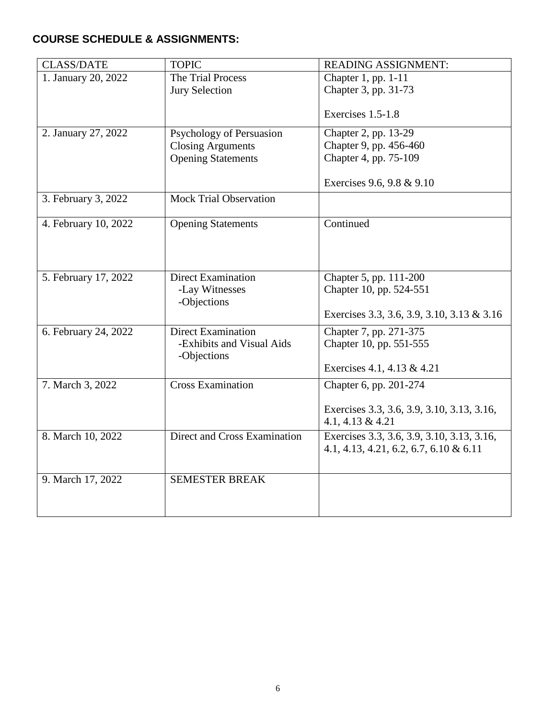# **COURSE SCHEDULE & ASSIGNMENTS:**

| <b>CLASS/DATE</b>    | <b>TOPIC</b>                                                                      | <b>READING ASSIGNMENT:</b>                                                                           |
|----------------------|-----------------------------------------------------------------------------------|------------------------------------------------------------------------------------------------------|
| 1. January 20, 2022  | The Trial Process<br><b>Jury Selection</b>                                        | Chapter 1, pp. 1-11<br>Chapter 3, pp. 31-73                                                          |
|                      |                                                                                   | Exercises 1.5-1.8                                                                                    |
| 2. January 27, 2022  | Psychology of Persuasion<br><b>Closing Arguments</b><br><b>Opening Statements</b> | Chapter 2, pp. 13-29<br>Chapter 9, pp. 456-460<br>Chapter 4, pp. 75-109<br>Exercises 9.6, 9.8 & 9.10 |
| 3. February 3, 2022  | <b>Mock Trial Observation</b>                                                     |                                                                                                      |
| 4. February 10, 2022 | <b>Opening Statements</b>                                                         | Continued                                                                                            |
| 5. February 17, 2022 | <b>Direct Examination</b><br>-Lay Witnesses<br>-Objections                        | Chapter 5, pp. 111-200<br>Chapter 10, pp. 524-551<br>Exercises 3.3, 3.6, 3.9, 3.10, 3.13 & 3.16      |
| 6. February 24, 2022 | <b>Direct Examination</b><br>-Exhibits and Visual Aids<br>-Objections             | Chapter 7, pp. 271-375<br>Chapter 10, pp. 551-555<br>Exercises 4.1, 4.13 & 4.21                      |
| 7. March 3, 2022     | <b>Cross Examination</b>                                                          | Chapter 6, pp. 201-274<br>Exercises 3.3, 3.6, 3.9, 3.10, 3.13, 3.16,<br>4.1, 4.13 & 4.21             |
| 8. March 10, 2022    | Direct and Cross Examination                                                      | Exercises 3.3, 3.6, 3.9, 3.10, 3.13, 3.16,<br>4.1, 4.13, 4.21, 6.2, 6.7, 6.10 & 6.11                 |
| 9. March 17, 2022    | <b>SEMESTER BREAK</b>                                                             |                                                                                                      |